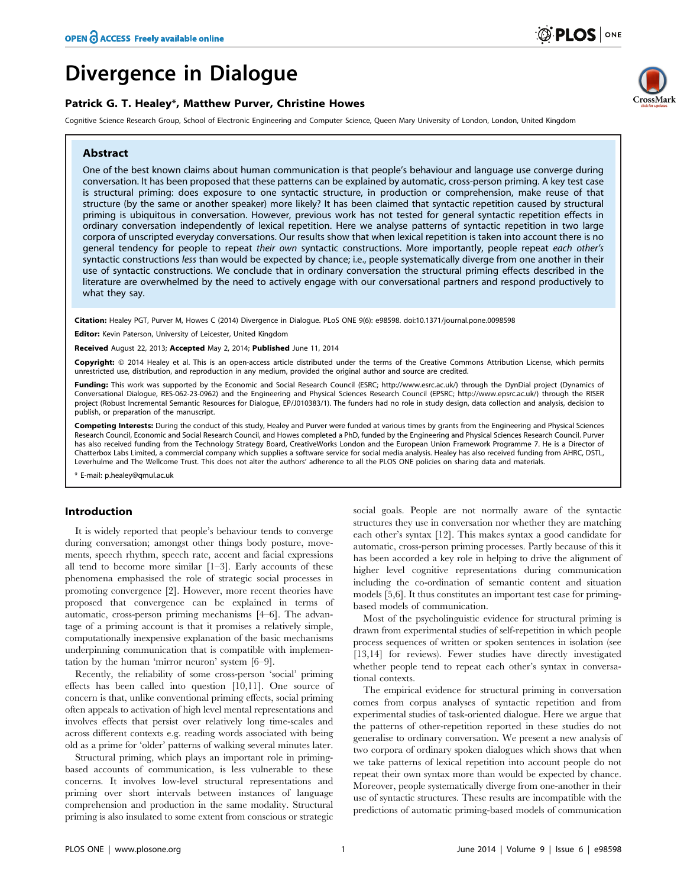# Patrick G. T. Healey\*, Matthew Purver, Christine Howes

Cognitive Science Research Group, School of Electronic Engineering and Computer Science, Queen Mary University of London, London, United Kingdom

## Abstract

One of the best known claims about human communication is that people's behaviour and language use converge during conversation. It has been proposed that these patterns can be explained by automatic, cross-person priming. A key test case is structural priming: does exposure to one syntactic structure, in production or comprehension, make reuse of that structure (by the same or another speaker) more likely? It has been claimed that syntactic repetition caused by structural priming is ubiquitous in conversation. However, previous work has not tested for general syntactic repetition effects in ordinary conversation independently of lexical repetition. Here we analyse patterns of syntactic repetition in two large corpora of unscripted everyday conversations. Our results show that when lexical repetition is taken into account there is no general tendency for people to repeat their own syntactic constructions. More importantly, people repeat each other's syntactic constructions less than would be expected by chance; i.e., people systematically diverge from one another in their use of syntactic constructions. We conclude that in ordinary conversation the structural priming effects described in the literature are overwhelmed by the need to actively engage with our conversational partners and respond productively to what they say.

Citation: Healey PGT, Purver M, Howes C (2014) Divergence in Dialogue. PLoS ONE 9(6): e98598. doi:10.1371/journal.pone.0098598

Editor: Kevin Paterson, University of Leicester, United Kingdom

Received August 22, 2013; Accepted May 2, 2014; Published June 11, 2014

Copyright: © 2014 Healey et al. This is an open-access article distributed under the terms of the [Creative Commons Attribution License](http://creativecommons.org/licenses/by/4.0/), which permits unrestricted use, distribution, and reproduction in any medium, provided the original author and source are credited.

**Funding:** This work was supported by the Economic and Social Research Council (ESRC: http://www.esrc.ac.uk/) through the DynDial project (Dynamics of Conversational Dialogue, RES-062-23-0962) and the Engineering and Physical Sciences Research Council (EPSRC; http://www.epsrc.ac.uk/) through the RISER project (Robust Incremental Semantic Resources for Dialogue, EP/J010383/1). The funders had no role in study design, data collection and analysis, decision to publish, or preparation of the manuscript.

Competing Interests: During the conduct of this study, Healey and Purver were funded at various times by grants from the Engineering and Physical Sciences Research Council, Economic and Social Research Council, and Howes completed a PhD, funded by the Engineering and Physical Sciences Research Council. Purver has also received funding from the Technology Strategy Board, CreativeWorks London and the European Union Framework Programme 7. He is a Director of Chatterbox Labs Limited, a commercial company which supplies a software service for social media analysis. Healey has also received funding from AHRC, DSTL, Leverhulme and The Wellcome Trust. This does not alter the authors' adherence to all the PLOS ONE policies on sharing data and materials.

\* E-mail: p.healey@qmul.ac.uk

## Introduction

It is widely reported that people's behaviour tends to converge during conversation; amongst other things body posture, movements, speech rhythm, speech rate, accent and facial expressions all tend to become more similar [1–3]. Early accounts of these phenomena emphasised the role of strategic social processes in promoting convergence [2]. However, more recent theories have proposed that convergence can be explained in terms of automatic, cross-person priming mechanisms [4–6]. The advantage of a priming account is that it promises a relatively simple, computationally inexpensive explanation of the basic mechanisms underpinning communication that is compatible with implementation by the human 'mirror neuron' system [6–9].

Recently, the reliability of some cross-person 'social' priming effects has been called into question [10,11]. One source of concern is that, unlike conventional priming effects, social priming often appeals to activation of high level mental representations and involves effects that persist over relatively long time-scales and across different contexts e.g. reading words associated with being old as a prime for 'older' patterns of walking several minutes later.

Structural priming, which plays an important role in primingbased accounts of communication, is less vulnerable to these concerns. It involves low-level structural representations and priming over short intervals between instances of language comprehension and production in the same modality. Structural priming is also insulated to some extent from conscious or strategic

social goals. People are not normally aware of the syntactic structures they use in conversation nor whether they are matching each other's syntax [12]. This makes syntax a good candidate for automatic, cross-person priming processes. Partly because of this it has been accorded a key role in helping to drive the alignment of higher level cognitive representations during communication including the co-ordination of semantic content and situation models [5,6]. It thus constitutes an important test case for primingbased models of communication.

Most of the psycholinguistic evidence for structural priming is drawn from experimental studies of self-repetition in which people process sequences of written or spoken sentences in isolation (see [13,14] for reviews). Fewer studies have directly investigated whether people tend to repeat each other's syntax in conversational contexts.

The empirical evidence for structural priming in conversation comes from corpus analyses of syntactic repetition and from experimental studies of task-oriented dialogue. Here we argue that the patterns of other-repetition reported in these studies do not generalise to ordinary conversation. We present a new analysis of two corpora of ordinary spoken dialogues which shows that when we take patterns of lexical repetition into account people do not repeat their own syntax more than would be expected by chance. Moreover, people systematically diverge from one-another in their use of syntactic structures. These results are incompatible with the predictions of automatic priming-based models of communication

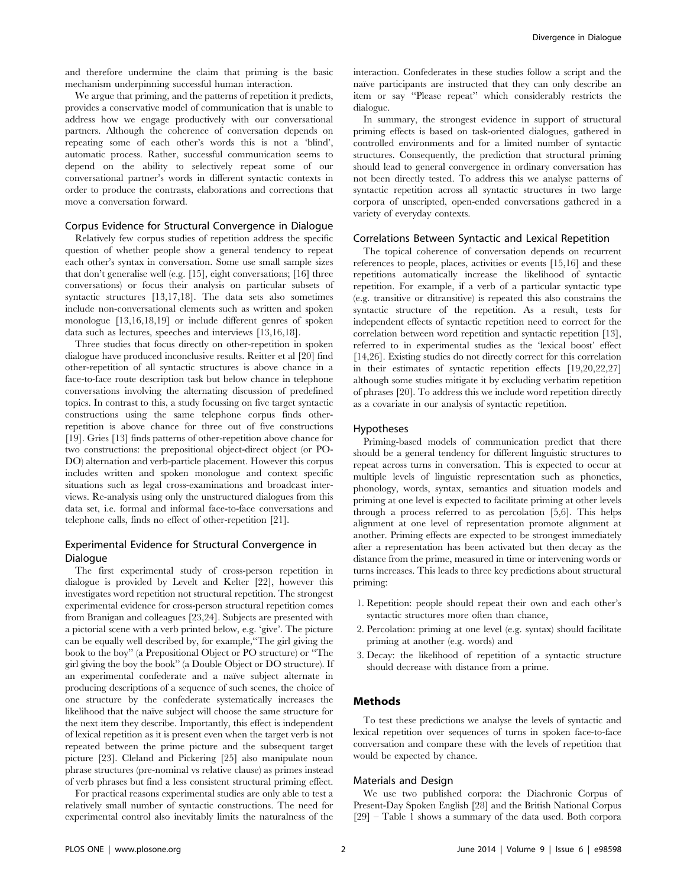and therefore undermine the claim that priming is the basic mechanism underpinning successful human interaction.

We argue that priming, and the patterns of repetition it predicts, provides a conservative model of communication that is unable to address how we engage productively with our conversational partners. Although the coherence of conversation depends on repeating some of each other's words this is not a 'blind', automatic process. Rather, successful communication seems to depend on the ability to selectively repeat some of our conversational partner's words in different syntactic contexts in order to produce the contrasts, elaborations and corrections that move a conversation forward.

## Corpus Evidence for Structural Convergence in Dialogue

Relatively few corpus studies of repetition address the specific question of whether people show a general tendency to repeat each other's syntax in conversation. Some use small sample sizes that don't generalise well (e.g. [15], eight conversations; [16] three conversations) or focus their analysis on particular subsets of syntactic structures [13,17,18]. The data sets also sometimes include non-conversational elements such as written and spoken monologue [13,16,18,19] or include different genres of spoken data such as lectures, speeches and interviews [13,16,18].

Three studies that focus directly on other-repetition in spoken dialogue have produced inconclusive results. Reitter et al [20] find other-repetition of all syntactic structures is above chance in a face-to-face route description task but below chance in telephone conversations involving the alternating discussion of predefined topics. In contrast to this, a study focussing on five target syntactic constructions using the same telephone corpus finds otherrepetition is above chance for three out of five constructions [19]. Gries [13] finds patterns of other-repetition above chance for two constructions: the prepositional object-direct object (or PO-DO) alternation and verb-particle placement. However this corpus includes written and spoken monologue and context specific situations such as legal cross-examinations and broadcast interviews. Re-analysis using only the unstructured dialogues from this data set, i.e. formal and informal face-to-face conversations and telephone calls, finds no effect of other-repetition [21].

# Experimental Evidence for Structural Convergence in Dialogue

The first experimental study of cross-person repetition in dialogue is provided by Levelt and Kelter [22], however this investigates word repetition not structural repetition. The strongest experimental evidence for cross-person structural repetition comes from Branigan and colleagues [23,24]. Subjects are presented with a pictorial scene with a verb printed below, e.g. 'give'. The picture can be equally well described by, for example,''The girl giving the book to the boy'' (a Prepositional Object or PO structure) or ''The girl giving the boy the book'' (a Double Object or DO structure). If an experimental confederate and a naïve subject alternate in producing descriptions of a sequence of such scenes, the choice of one structure by the confederate systematically increases the likelihood that the naïve subject will choose the same structure for the next item they describe. Importantly, this effect is independent of lexical repetition as it is present even when the target verb is not repeated between the prime picture and the subsequent target picture [23]. Cleland and Pickering [25] also manipulate noun phrase structures (pre-nominal vs relative clause) as primes instead of verb phrases but find a less consistent structural priming effect.

For practical reasons experimental studies are only able to test a relatively small number of syntactic constructions. The need for experimental control also inevitably limits the naturalness of the

interaction. Confederates in these studies follow a script and the naïve participants are instructed that they can only describe an item or say ''Please repeat'' which considerably restricts the dialogue.

In summary, the strongest evidence in support of structural priming effects is based on task-oriented dialogues, gathered in controlled environments and for a limited number of syntactic structures. Consequently, the prediction that structural priming should lead to general convergence in ordinary conversation has not been directly tested. To address this we analyse patterns of syntactic repetition across all syntactic structures in two large corpora of unscripted, open-ended conversations gathered in a variety of everyday contexts.

#### Correlations Between Syntactic and Lexical Repetition

The topical coherence of conversation depends on recurrent references to people, places, activities or events [15,16] and these repetitions automatically increase the likelihood of syntactic repetition. For example, if a verb of a particular syntactic type (e.g. transitive or ditransitive) is repeated this also constrains the syntactic structure of the repetition. As a result, tests for independent effects of syntactic repetition need to correct for the correlation between word repetition and syntactic repetition [13], referred to in experimental studies as the 'lexical boost' effect [14,26]. Existing studies do not directly correct for this correlation in their estimates of syntactic repetition effects [19,20,22,27] although some studies mitigate it by excluding verbatim repetition of phrases [20]. To address this we include word repetition directly as a covariate in our analysis of syntactic repetition.

## Hypotheses

Priming-based models of communication predict that there should be a general tendency for different linguistic structures to repeat across turns in conversation. This is expected to occur at multiple levels of linguistic representation such as phonetics, phonology, words, syntax, semantics and situation models and priming at one level is expected to facilitate priming at other levels through a process referred to as percolation [5,6]. This helps alignment at one level of representation promote alignment at another. Priming effects are expected to be strongest immediately after a representation has been activated but then decay as the distance from the prime, measured in time or intervening words or turns increases. This leads to three key predictions about structural priming:

- 1. Repetition: people should repeat their own and each other's syntactic structures more often than chance,
- 2. Percolation: priming at one level (e.g. syntax) should facilitate priming at another (e.g. words) and
- 3. Decay: the likelihood of repetition of a syntactic structure should decrease with distance from a prime.

### Methods

To test these predictions we analyse the levels of syntactic and lexical repetition over sequences of turns in spoken face-to-face conversation and compare these with the levels of repetition that would be expected by chance.

#### Materials and Design

We use two published corpora: the Diachronic Corpus of Present-Day Spoken English [28] and the British National Corpus [29] – Table 1 shows a summary of the data used. Both corpora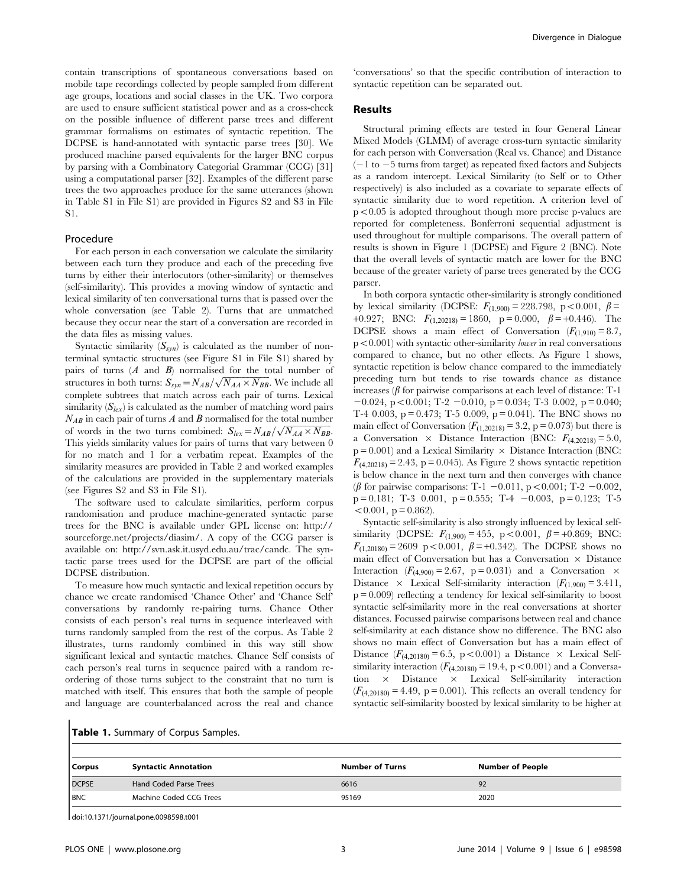contain transcriptions of spontaneous conversations based on mobile tape recordings collected by people sampled from different age groups, locations and social classes in the UK. Two corpora are used to ensure sufficient statistical power and as a cross-check on the possible influence of different parse trees and different grammar formalisms on estimates of syntactic repetition. The DCPSE is hand-annotated with syntactic parse trees [30]. We produced machine parsed equivalents for the larger BNC corpus by parsing with a Combinatory Categorial Grammar (CCG) [31] using a computational parser [32]. Examples of the different parse trees the two approaches produce for the same utterances (shown in Table S1 in File S1) are provided in Figures S2 and S3 in File S1.

#### Procedure

For each person in each conversation we calculate the similarity between each turn they produce and each of the preceding five turns by either their interlocutors (other-similarity) or themselves (self-similarity). This provides a moving window of syntactic and lexical similarity of ten conversational turns that is passed over the whole conversation (see Table 2). Turns that are unmatched because they occur near the start of a conversation are recorded in the data files as missing values.

Syntactic similarity  $(S_{syn})$  is calculated as the number of nonterminal syntactic structures (see Figure S1 in File S1) shared by pairs of turns  $(A \text{ and } B)$  normalised for the total number of pans or turns (A and B) normalised for the total number of structures in both turns:  $S_{syn} = N_{AB}/\sqrt{N_{AA} \times N_{BB}}$ . We include all complete subtrees that match across each pair of turns. Lexical similarity  $(S_{\ell}g_{\ell}x)$  is calculated as the number of matching word pairs  $N_{AB}$  in each pair of turns A and B normalised for the total number of words in the two turns combined:  $S_{lex} = N_{AB}/\sqrt{N_{AA} \times N_{BB}}$ . This yields similarity values for pairs of turns that vary between 0 for no match and 1 for a verbatim repeat. Examples of the similarity measures are provided in Table 2 and worked examples of the calculations are provided in the supplementary materials (see Figures S2 and S3 in File S1).

The software used to calculate similarities, perform corpus randomisation and produce machine-generated syntactic parse trees for the BNC is available under GPL license on: [http://](http://sourceforge.net/projects/diasim/) [sourceforge.net/projects/diasim/.](http://sourceforge.net/projects/diasim/) A copy of the CCG parser is available on: [http://svn.ask.it.usyd.edu.au/trac/candc.](http://svn.ask.it.usyd.edu.au/trac/candc) The syntactic parse trees used for the DCPSE are part of the official DCPSE distribution.

To measure how much syntactic and lexical repetition occurs by chance we create randomised 'Chance Other' and 'Chance Self' conversations by randomly re-pairing turns. Chance Other consists of each person's real turns in sequence interleaved with turns randomly sampled from the rest of the corpus. As Table 2 illustrates, turns randomly combined in this way still show significant lexical and syntactic matches. Chance Self consists of each person's real turns in sequence paired with a random reordering of those turns subject to the constraint that no turn is matched with itself. This ensures that both the sample of people and language are counterbalanced across the real and chance

'conversations' so that the specific contribution of interaction to syntactic repetition can be separated out.

## Results

Structural priming effects are tested in four General Linear Mixed Models (GLMM) of average cross-turn syntactic similarity for each person with Conversation (Real vs. Chance) and Distance  $(-1)$  to  $-5$  turns from target) as repeated fixed factors and Subjects as a random intercept. Lexical Similarity (to Self or to Other respectively) is also included as a covariate to separate effects of syntactic similarity due to word repetition. A criterion level of  $p<0.05$  is adopted throughout though more precise p-values are reported for completeness. Bonferroni sequential adjustment is used throughout for multiple comparisons. The overall pattern of results is shown in Figure 1 (DCPSE) and Figure 2 (BNC). Note that the overall levels of syntactic match are lower for the BNC because of the greater variety of parse trees generated by the CCG parser.

In both corpora syntactic other-similarity is strongly conditioned by lexical similarity (DCPSE:  $F_{(1,900)} = 228.798$ , p < 0.001,  $\beta =$ +0.927; BNC:  $F_{(1,20218)} = 1860$ ,  $p = 0.000$ ,  $\beta = +0.446$ ). The DCPSE shows a main effect of Conversation  $(F_{(1,910)} = 8.7)$ ,  $p<0.001$ ) with syntactic other-similarity *lower* in real conversations compared to chance, but no other effects. As Figure 1 shows, syntactic repetition is below chance compared to the immediately preceding turn but tends to rise towards chance as distance increases ( $\beta$  for pairwise comparisons at each level of distance: T-1  $-0.024$ , p < 0.001; T-2  $-0.010$ , p = 0.034; T-3 0.002, p = 0.040; T-4 0.003,  $p = 0.473$ ; T-5 0.009,  $p = 0.041$ ). The BNC shows no main effect of Conversation  $(F_{(1,20218)} = 3.2, p = 0.073)$  but there is a Conversation  $\times$  Distance Interaction (BNC:  $F_{(4,20218)} = 5.0$ ,  $p = 0.001$ ) and a Lexical Similarity  $\times$  Distance Interaction (BNC:  $F_{(4,20218)} = 2.43$ , p = 0.045). As Figure 2 shows syntactic repetition is below chance in the next turn and then converges with chance ( $\beta$  for pairwise comparisons: T-1 -0.011, p < 0.001; T-2 -0.002,  $p = 0.181$ ; T-3 0.001,  $p = 0.555$ ; T-4  $-0.003$ ,  $p = 0.123$ ; T-5  $< 0.001$ , p = 0.862).

Syntactic self-similarity is also strongly influenced by lexical selfsimilarity (DCPSE:  $F_{(1,900)} = 455$ , p $< 0.001$ ,  $\beta = +0.869$ ; BNC:  $F_{(1,20180)} = 2609 \text{ p} < 0.001, \ \beta = +0.342$ . The DCPSE shows no main effect of Conversation but has a Conversation  $\times$  Distance Interaction  $(F_{(4,900)} = 2.67, p = 0.031)$  and a Conversation  $\times$ Distance  $\times$  Lexical Self-similarity interaction  $(F_{(1,900)} = 3.411,$  $p = 0.009$  reflecting a tendency for lexical self-similarity to boost syntactic self-similarity more in the real conversations at shorter distances. Focussed pairwise comparisons between real and chance self-similarity at each distance show no difference. The BNC also shows no main effect of Conversation but has a main effect of Distance  $(F_{(4,20180)} = 6.5, p < 0.001)$  a Distance  $\times$  Lexical Selfsimilarity interaction  $(F_{(4,20180)} = 19.4, p < 0.001)$  and a Conversation  $\times$  Distance  $\times$  Lexical Self-similarity interaction  $(F_{(4,20180)} = 4.49, p = 0.001)$ . This reflects an overall tendency for syntactic self-similarity boosted by lexical similarity to be higher at

| <b>Corpus</b> | <b>Syntactic Annotation</b> | <b>Number of Turns</b> | Number of People |  |  |  |  |  |  |
|---------------|-----------------------------|------------------------|------------------|--|--|--|--|--|--|
| <b>DCPSE</b>  | Hand Coded Parse Trees      | 6616                   | 92               |  |  |  |  |  |  |
| BNC           | Machine Coded CCG Trees     | 95169                  | 2020             |  |  |  |  |  |  |

doi:10.1371/journal.pone.0098598.t001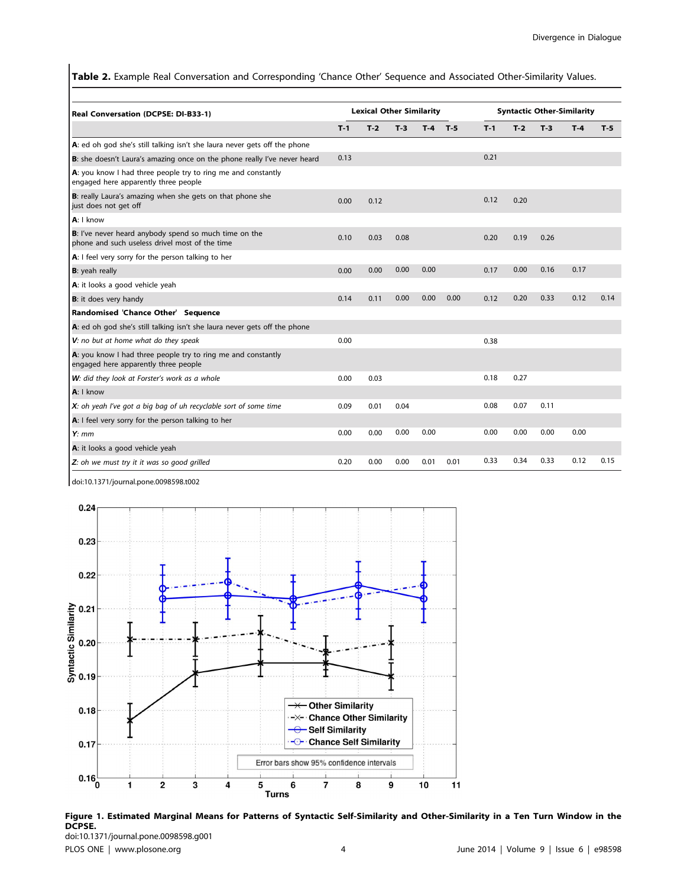Table 2. Example Real Conversation and Corresponding 'Chance Other' Sequence and Associated Other-Similarity Values.

| <b>Real Conversation (DCPSE: DI-B33-1)</b>                                                              |       | <b>Lexical Other Similarity</b> |       |       |      |       | <b>Syntactic Other-Similarity</b> |       |       |       |  |
|---------------------------------------------------------------------------------------------------------|-------|---------------------------------|-------|-------|------|-------|-----------------------------------|-------|-------|-------|--|
|                                                                                                         | $T-1$ | $T-2$                           | $T-3$ | $T-4$ | T-5  | $T-1$ | $T-2$                             | $T-3$ | $T-4$ | $T-5$ |  |
| A: ed oh god she's still talking isn't she laura never gets off the phone                               |       |                                 |       |       |      |       |                                   |       |       |       |  |
| <b>B</b> : she doesn't Laura's amazing once on the phone really I've never heard                        | 0.13  |                                 |       |       |      | 0.21  |                                   |       |       |       |  |
| A: you know I had three people try to ring me and constantly<br>engaged here apparently three people    |       |                                 |       |       |      |       |                                   |       |       |       |  |
| B: really Laura's amazing when she gets on that phone she<br>just does not get off                      | 0.00  | 0.12                            |       |       |      | 0.12  | 0.20                              |       |       |       |  |
| $A: I$ know                                                                                             |       |                                 |       |       |      |       |                                   |       |       |       |  |
| B: I've never heard anybody spend so much time on the<br>phone and such useless drivel most of the time | 0.10  | 0.03                            | 0.08  |       |      | 0.20  | 0.19                              | 0.26  |       |       |  |
| A: I feel very sorry for the person talking to her                                                      |       |                                 |       |       |      |       |                                   |       |       |       |  |
| <b>B</b> : yeah really                                                                                  | 0.00  | 0.00                            | 0.00  | 0.00  |      | 0.17  | 0.00                              | 0.16  | 0.17  |       |  |
| A: it looks a good vehicle yeah                                                                         |       |                                 |       |       |      |       |                                   |       |       |       |  |
| <b>B</b> : it does very handy                                                                           | 0.14  | 0.11                            | 0.00  | 0.00  | 0.00 | 0.12  | 0.20                              | 0.33  | 0.12  | 0.14  |  |
| Randomised 'Chance Other' Sequence                                                                      |       |                                 |       |       |      |       |                                   |       |       |       |  |
| A: ed oh god she's still talking isn't she laura never gets off the phone                               |       |                                 |       |       |      |       |                                   |       |       |       |  |
| V: no but at home what do they speak                                                                    | 0.00  |                                 |       |       |      | 0.38  |                                   |       |       |       |  |
| A: you know I had three people try to ring me and constantly<br>engaged here apparently three people    |       |                                 |       |       |      |       |                                   |       |       |       |  |
| W: did they look at Forster's work as a whole                                                           | 0.00  | 0.03                            |       |       |      | 0.18  | 0.27                              |       |       |       |  |
| A: I know                                                                                               |       |                                 |       |       |      |       |                                   |       |       |       |  |
| $X$ : oh yeah I've got a big bag of uh recyclable sort of some time                                     | 0.09  | 0.01                            | 0.04  |       |      | 0.08  | 0.07                              | 0.11  |       |       |  |
| A: I feel very sorry for the person talking to her                                                      |       |                                 |       |       |      |       |                                   |       |       |       |  |
| $Y:$ mm                                                                                                 | 0.00  | 0.00                            | 0.00  | 0.00  |      | 0.00  | 0.00                              | 0.00  | 0.00  |       |  |
| A: it looks a good vehicle yeah                                                                         |       |                                 |       |       |      |       |                                   |       |       |       |  |
| $Z$ oh we must try it it was so good grilled                                                            | 0.20  | 0.00                            | 0.00  | 0.01  | 0.01 | 0.33  | 0.34                              | 0.33  | 0.12  | 0.15  |  |

doi:10.1371/journal.pone.0098598.t002



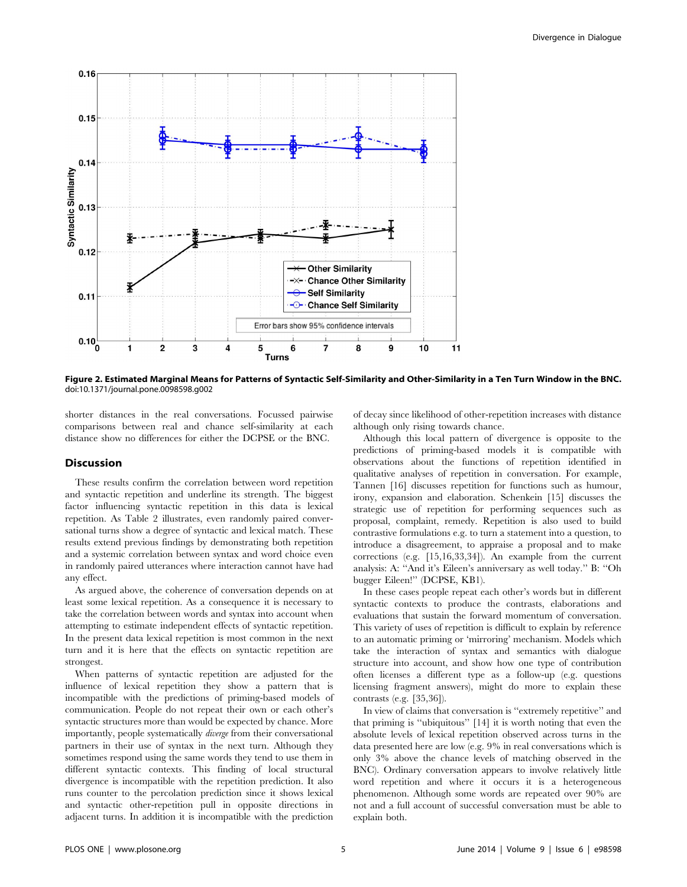

Figure 2. Estimated Marginal Means for Patterns of Syntactic Self-Similarity and Other-Similarity in a Ten Turn Window in the BNC. doi:10.1371/journal.pone.0098598.g002

shorter distances in the real conversations. Focussed pairwise comparisons between real and chance self-similarity at each distance show no differences for either the DCPSE or the BNC.

### Discussion

These results confirm the correlation between word repetition and syntactic repetition and underline its strength. The biggest factor influencing syntactic repetition in this data is lexical repetition. As Table 2 illustrates, even randomly paired conversational turns show a degree of syntactic and lexical match. These results extend previous findings by demonstrating both repetition and a systemic correlation between syntax and word choice even in randomly paired utterances where interaction cannot have had any effect.

As argued above, the coherence of conversation depends on at least some lexical repetition. As a consequence it is necessary to take the correlation between words and syntax into account when attempting to estimate independent effects of syntactic repetition. In the present data lexical repetition is most common in the next turn and it is here that the effects on syntactic repetition are strongest.

When patterns of syntactic repetition are adjusted for the influence of lexical repetition they show a pattern that is incompatible with the predictions of priming-based models of communication. People do not repeat their own or each other's syntactic structures more than would be expected by chance. More importantly, people systematically diverge from their conversational partners in their use of syntax in the next turn. Although they sometimes respond using the same words they tend to use them in different syntactic contexts. This finding of local structural divergence is incompatible with the repetition prediction. It also runs counter to the percolation prediction since it shows lexical and syntactic other-repetition pull in opposite directions in adjacent turns. In addition it is incompatible with the prediction

of decay since likelihood of other-repetition increases with distance although only rising towards chance.

Although this local pattern of divergence is opposite to the predictions of priming-based models it is compatible with observations about the functions of repetition identified in qualitative analyses of repetition in conversation. For example, Tannen [16] discusses repetition for functions such as humour, irony, expansion and elaboration. Schenkein [15] discusses the strategic use of repetition for performing sequences such as proposal, complaint, remedy. Repetition is also used to build contrastive formulations e.g. to turn a statement into a question, to introduce a disagreement, to appraise a proposal and to make corrections (e.g. [15,16,33,34]). An example from the current analysis: A: ''And it's Eileen's anniversary as well today.'' B: ''Oh bugger Eileen!'' (DCPSE, KB1).

In these cases people repeat each other's words but in different syntactic contexts to produce the contrasts, elaborations and evaluations that sustain the forward momentum of conversation. This variety of uses of repetition is difficult to explain by reference to an automatic priming or 'mirroring' mechanism. Models which take the interaction of syntax and semantics with dialogue structure into account, and show how one type of contribution often licenses a different type as a follow-up (e.g. questions licensing fragment answers), might do more to explain these contrasts (e.g. [35,36]).

In view of claims that conversation is ''extremely repetitive'' and that priming is ''ubiquitous'' [14] it is worth noting that even the absolute levels of lexical repetition observed across turns in the data presented here are low (e.g. 9% in real conversations which is only 3% above the chance levels of matching observed in the BNC). Ordinary conversation appears to involve relatively little word repetition and where it occurs it is a heterogeneous phenomenon. Although some words are repeated over 90% are not and a full account of successful conversation must be able to explain both.